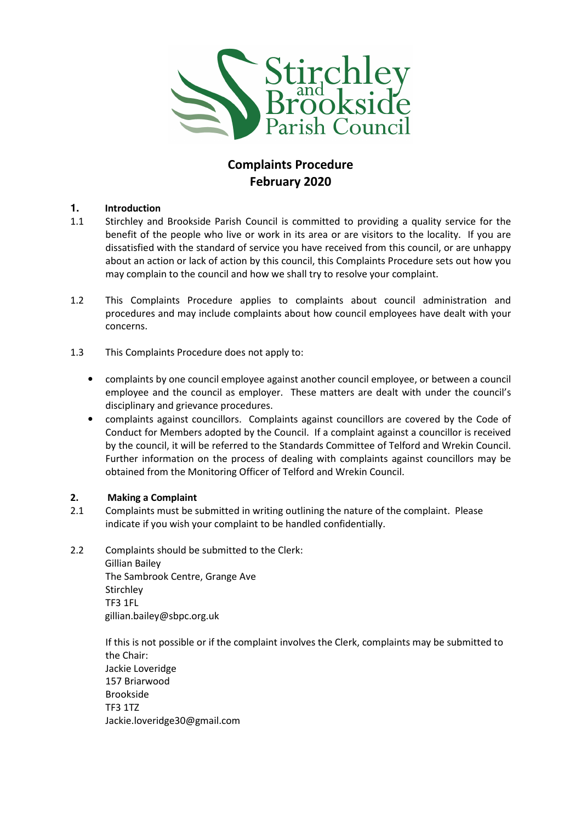

# Complaints Procedure February 2020

# **1.** Introduction

- 1.1 Stirchley and Brookside Parish Council is committed to providing a quality service for the benefit of the people who live or work in its area or are visitors to the locality. If you are dissatisfied with the standard of service you have received from this council, or are unhappy about an action or lack of action by this council, this Complaints Procedure sets out how you may complain to the council and how we shall try to resolve your complaint.
- 1.2 This Complaints Procedure applies to complaints about council administration and procedures and may include complaints about how council employees have dealt with your concerns.
- 1.3 This Complaints Procedure does not apply to:
	- complaints by one council employee against another council employee, or between a council employee and the council as employer. These matters are dealt with under the council's disciplinary and grievance procedures.
	- complaints against councillors. Complaints against councillors are covered by the Code of Conduct for Members adopted by the Council. If a complaint against a councillor is received by the council, it will be referred to the Standards Committee of Telford and Wrekin Council. Further information on the process of dealing with complaints against councillors may be obtained from the Monitoring Officer of Telford and Wrekin Council.

# 2. Making a Complaint

- 2.1 Complaints must be submitted in writing outlining the nature of the complaint. Please indicate if you wish your complaint to be handled confidentially.
- 2.2 Complaints should be submitted to the Clerk:

 Gillian Bailey The Sambrook Centre, Grange Ave **Stirchley**  TF3 1FL gillian.bailey@sbpc.org.uk

If this is not possible or if the complaint involves the Clerk, complaints may be submitted to the Chair: Jackie Loveridge 157 Briarwood Brookside TF3 1TZ Jackie.loveridge30@gmail.com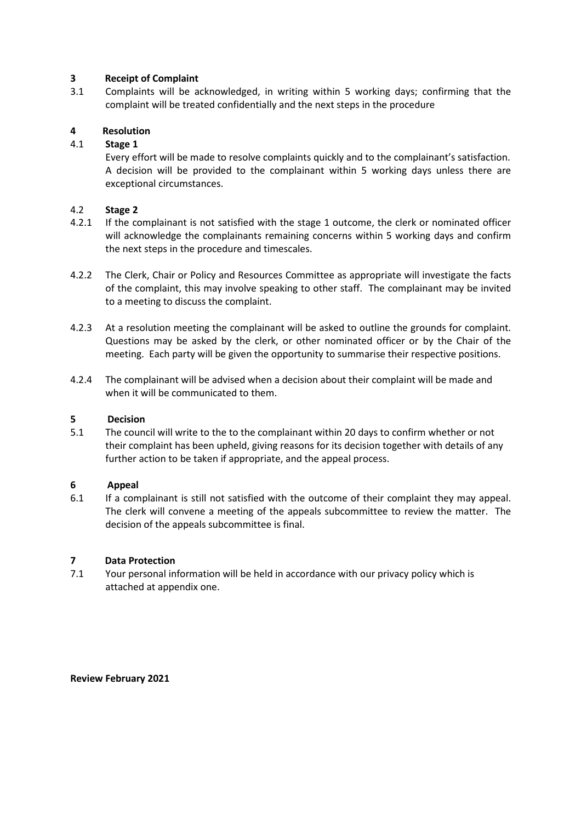## 3 Receipt of Complaint

3.1 Complaints will be acknowledged, in writing within 5 working days; confirming that the complaint will be treated confidentially and the next steps in the procedure

# 4 Resolution

## 4.1 Stage 1

 Every effort will be made to resolve complaints quickly and to the complainant's satisfaction. A decision will be provided to the complainant within 5 working days unless there are exceptional circumstances.

#### 4.2 Stage 2

- 4.2.1 If the complainant is not satisfied with the stage 1 outcome, the clerk or nominated officer will acknowledge the complainants remaining concerns within 5 working days and confirm the next steps in the procedure and timescales.
- 4.2.2 The Clerk, Chair or Policy and Resources Committee as appropriate will investigate the facts of the complaint, this may involve speaking to other staff. The complainant may be invited to a meeting to discuss the complaint.
- 4.2.3 At a resolution meeting the complainant will be asked to outline the grounds for complaint. Questions may be asked by the clerk, or other nominated officer or by the Chair of the meeting. Each party will be given the opportunity to summarise their respective positions.
- 4.2.4 The complainant will be advised when a decision about their complaint will be made and when it will be communicated to them.

#### 5 Decision

5.1 The council will write to the to the complainant within 20 days to confirm whether or not their complaint has been upheld, giving reasons for its decision together with details of any further action to be taken if appropriate, and the appeal process.

#### 6 Appeal

6.1 If a complainant is still not satisfied with the outcome of their complaint they may appeal. The clerk will convene a meeting of the appeals subcommittee to review the matter. The decision of the appeals subcommittee is final.

#### 7 Data Protection

7.1 Your personal information will be held in accordance with our privacy policy which is attached at appendix one.

Review February 2021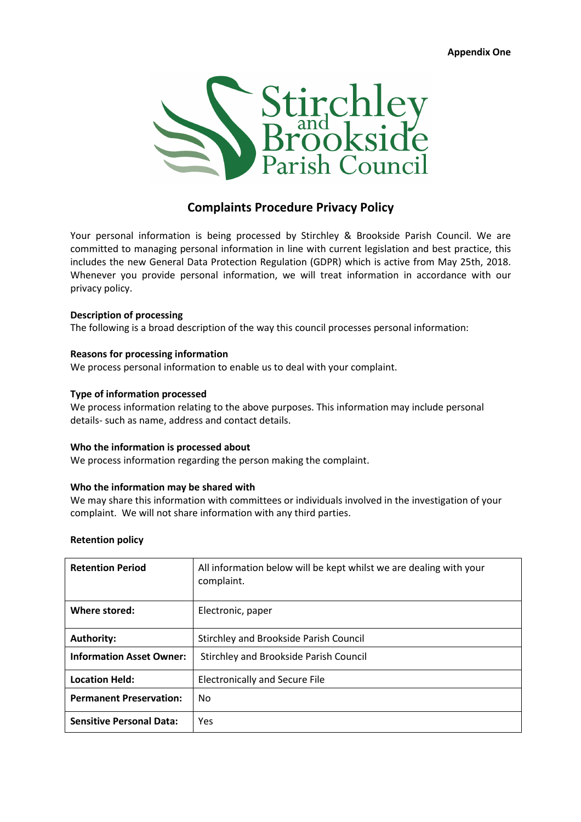Appendix One



# Complaints Procedure Privacy Policy

Your personal information is being processed by Stirchley & Brookside Parish Council. We are committed to managing personal information in line with current legislation and best practice, this includes the new General Data Protection Regulation (GDPR) which is active from May 25th, 2018. Whenever you provide personal information, we will treat information in accordance with our privacy policy.

#### Description of processing

The following is a broad description of the way this council processes personal information:

#### Reasons for processing information

We process personal information to enable us to deal with your complaint.

#### Type of information processed

We process information relating to the above purposes. This information may include personal details- such as name, address and contact details.

#### Who the information is processed about

We process information regarding the person making the complaint.

#### Who the information may be shared with

We may share this information with committees or individuals involved in the investigation of your complaint. We will not share information with any third parties.

#### Retention policy

| <b>Retention Period</b>         | All information below will be kept whilst we are dealing with your<br>complaint. |
|---------------------------------|----------------------------------------------------------------------------------|
| Where stored:                   | Electronic, paper                                                                |
| <b>Authority:</b>               | <b>Stirchley and Brookside Parish Council</b>                                    |
| <b>Information Asset Owner:</b> | Stirchley and Brookside Parish Council                                           |
| <b>Location Held:</b>           | <b>Electronically and Secure File</b>                                            |
| <b>Permanent Preservation:</b>  | No                                                                               |
| <b>Sensitive Personal Data:</b> | Yes                                                                              |